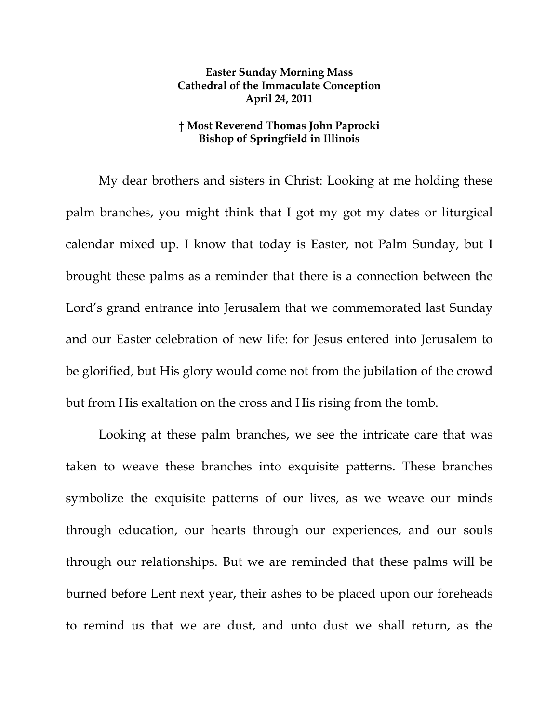## **Easter Sunday Morning Mass Cathedral of the Immaculate Conception April 24, 2011**

## **† Most Reverend Thomas John Paprocki Bishop of Springfield in Illinois**

My dear brothers and sisters in Christ: Looking at me holding these palm branches, you might think that I got my got my dates or liturgical calendar mixed up. I know that today is Easter, not Palm Sunday, but I brought these palms as a reminder that there is a connection between the Lord's grand entrance into Jerusalem that we commemorated last Sunday and our Easter celebration of new life: for Jesus entered into Jerusalem to be glorified, but His glory would come not from the jubilation of the crowd but from His exaltation on the cross and His rising from the tomb.

Looking at these palm branches, we see the intricate care that was taken to weave these branches into exquisite patterns. These branches symbolize the exquisite patterns of our lives, as we weave our minds through education, our hearts through our experiences, and our souls through our relationships. But we are reminded that these palms will be burned before Lent next year, their ashes to be placed upon our foreheads to remind us that we are dust, and unto dust we shall return, as the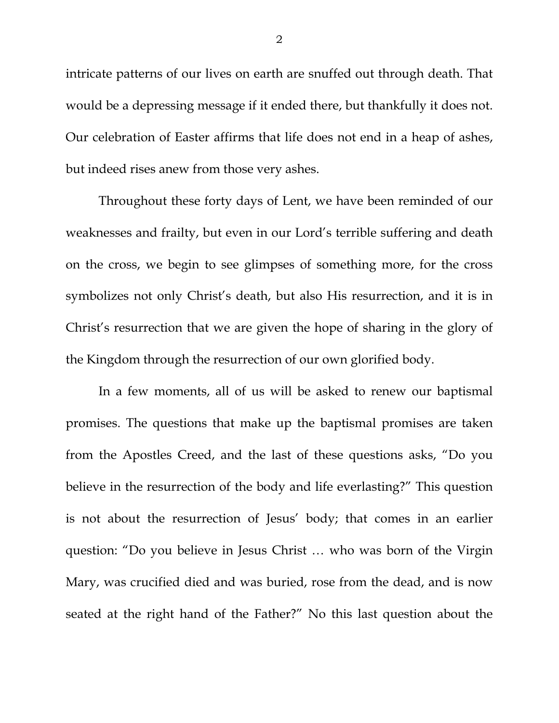intricate patterns of our lives on earth are snuffed out through death. That would be a depressing message if it ended there, but thankfully it does not. Our celebration of Easter affirms that life does not end in a heap of ashes, but indeed rises anew from those very ashes.

Throughout these forty days of Lent, we have been reminded of our weaknesses and frailty, but even in our Lord's terrible suffering and death on the cross, we begin to see glimpses of something more, for the cross symbolizes not only Christ's death, but also His resurrection, and it is in Christ's resurrection that we are given the hope of sharing in the glory of the Kingdom through the resurrection of our own glorified body.

In a few moments, all of us will be asked to renew our baptismal promises. The questions that make up the baptismal promises are taken from the Apostles Creed, and the last of these questions asks, "Do you believe in the resurrection of the body and life everlasting?" This question is not about the resurrection of Jesus' body; that comes in an earlier question: "Do you believe in Jesus Christ … who was born of the Virgin Mary, was crucified died and was buried, rose from the dead, and is now seated at the right hand of the Father?" No this last question about the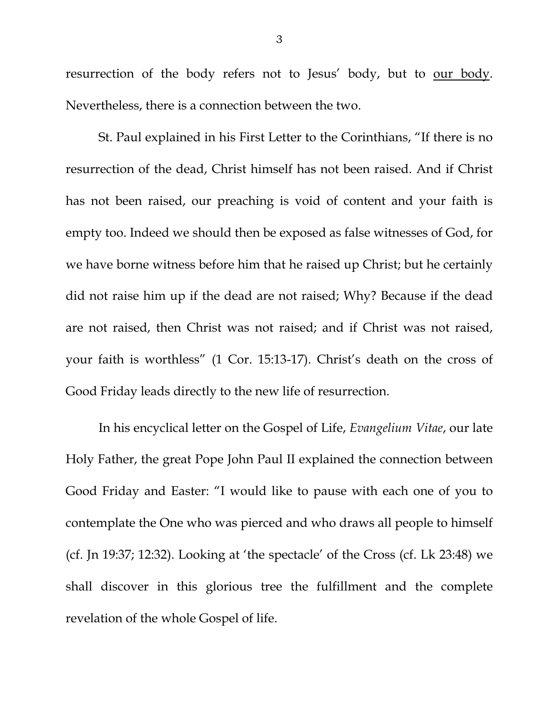resurrection of the body refers not to Jesus' body, but to <u>our body</u>. Nevertheless, there is a connection between the two.

St. Paul explained in his First Letter to the Corinthians, "If there is no resurrection of the dead, Christ himself has not been raised. And if Christ has not been raised, our preaching is void of content and your faith is empty too. Indeed we should then be exposed as false witnesses of God, for we have borne witness before him that he raised up Christ; but he certainly did not raise him up if the dead are not raised; Why? Because if the dead are not raised, then Christ was not raised; and if Christ was not raised, your faith is worthless" (1 Cor. 15:13-17). Christ's death on the cross of Good Friday leads directly to the new life of resurrection.

 In his encyclical letter on the Gospel of Life, *Evangelium Vitae*, our late Holy Father, the great Pope John Paul II explained the connection between Good Friday and Easter: "I would like to pause with each one of you to contemplate the One who was pierced and who draws all people to himself (cf. Jn 19:37; 12:32). Looking at 'the spectacle' of the Cross (cf. Lk 23:48) we shall discover in this glorious tree the fulfillment and the complete revelation of the whole Gospel of life.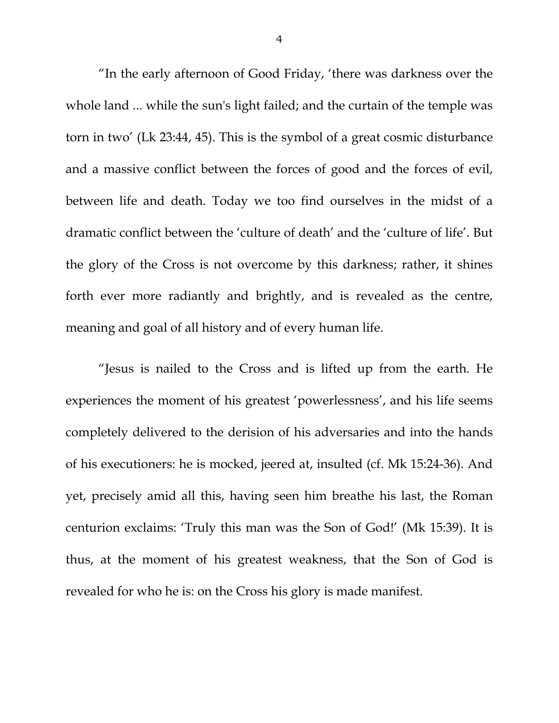"In the early afternoon of Good Friday, 'there was darkness over the whole land ... while the sun's light failed; and the curtain of the temple was torn in two' (Lk 23:44, 45). This is the symbol of a great cosmic disturbance and a massive conflict between the forces of good and the forces of evil, between life and death. Today we too find ourselves in the midst of a dramatic conflict between the 'culture of death' and the 'culture of life'. But the glory of the Cross is not overcome by this darkness; rather, it shines forth ever more radiantly and brightly, and is revealed as the centre, meaning and goal of all history and of every human life.

"Jesus is nailed to the Cross and is lifted up from the earth. He experiences the moment of his greatest 'powerlessness', and his life seems completely delivered to the derision of his adversaries and into the hands of his executioners: he is mocked, jeered at, insulted (cf. Mk 15:24-36). And yet, precisely amid all this, having seen him breathe his last, the Roman centurion exclaims: 'Truly this man was the Son of God!' (Mk 15:39). It is thus, at the moment of his greatest weakness, that the Son of God is revealed for who he is: on the Cross his glory is made manifest.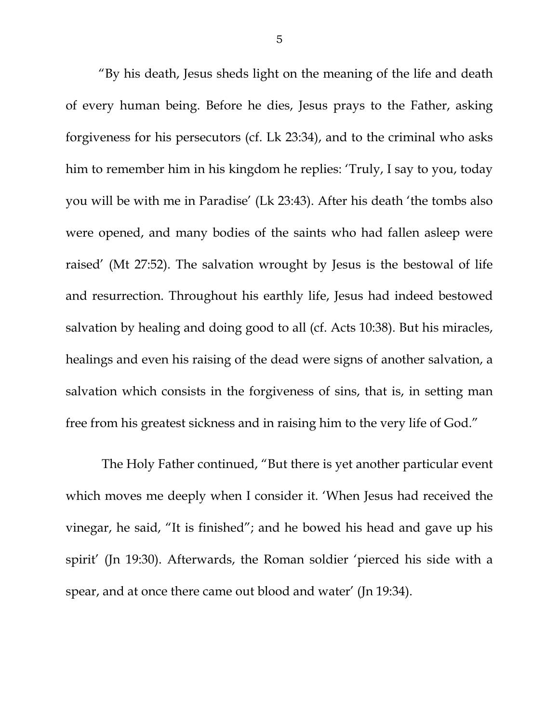"By his death, Jesus sheds light on the meaning of the life and death of every human being. Before he dies, Jesus prays to the Father, asking forgiveness for his persecutors (cf. Lk 23:34), and to the criminal who asks him to remember him in his kingdom he replies: 'Truly, I say to you, today you will be with me in Paradise' (Lk 23:43). After his death 'the tombs also were opened, and many bodies of the saints who had fallen asleep were raised' (Mt 27:52). The salvation wrought by Jesus is the bestowal of life and resurrection. Throughout his earthly life, Jesus had indeed bestowed salvation by healing and doing good to all (cf. Acts 10:38). But his miracles, healings and even his raising of the dead were signs of another salvation, a salvation which consists in the forgiveness of sins, that is, in setting man free from his greatest sickness and in raising him to the very life of God."

 The Holy Father continued, "But there is yet another particular event which moves me deeply when I consider it. 'When Jesus had received the vinegar, he said, "It is finished"; and he bowed his head and gave up his spirit' (Jn 19:30). Afterwards, the Roman soldier 'pierced his side with a spear, and at once there came out blood and water' (Jn 19:34).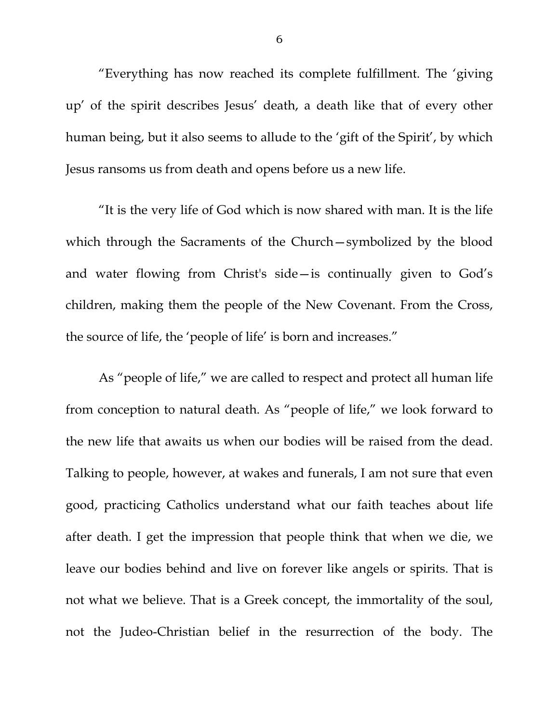"Everything has now reached its complete fulfillment. The 'giving up' of the spirit describes Jesus' death, a death like that of every other human being, but it also seems to allude to the 'gift of the Spirit', by which Jesus ransoms us from death and opens before us a new life.

"It is the very life of God which is now shared with man. It is the life which through the Sacraments of the Church—symbolized by the blood and water flowing from Christ's side—is continually given to God's children, making them the people of the New Covenant. From the Cross, the source of life, the 'people of life' is born and increases."

As "people of life," we are called to respect and protect all human life from conception to natural death. As "people of life," we look forward to the new life that awaits us when our bodies will be raised from the dead. Talking to people, however, at wakes and funerals, I am not sure that even good, practicing Catholics understand what our faith teaches about life after death. I get the impression that people think that when we die, we leave our bodies behind and live on forever like angels or spirits. That is not what we believe. That is a Greek concept, the immortality of the soul, not the Judeo-Christian belief in the resurrection of the body. The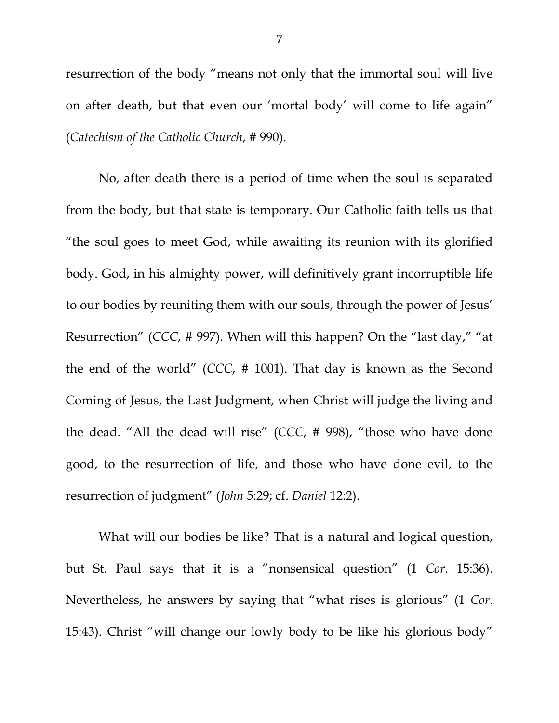resurrection of the body "means not only that the immortal soul will live on after death, but that even our 'mortal body' will come to life again" (*Catechism of the Catholic Church*, # 990).

No, after death there is a period of time when the soul is separated from the body, but that state is temporary. Our Catholic faith tells us that "the soul goes to meet God, while awaiting its reunion with its glorified body. God, in his almighty power, will definitively grant incorruptible life to our bodies by reuniting them with our souls, through the power of Jesus' Resurrection" (*CCC*, # 997). When will this happen? On the "last day," "at the end of the world" (*CCC*, # 1001). That day is known as the Second Coming of Jesus, the Last Judgment, when Christ will judge the living and the dead. "All the dead will rise" (*CCC*, # 998), "those who have done good, to the resurrection of life, and those who have done evil, to the resurrection of judgment" (*John* 5:29; cf. *Daniel* 12:2).

What will our bodies be like? That is a natural and logical question, but St. Paul says that it is a "nonsensical question" (1 *Cor*. 15:36). Nevertheless, he answers by saying that "what rises is glorious" (1 *Cor*. 15:43). Christ "will change our lowly body to be like his glorious body"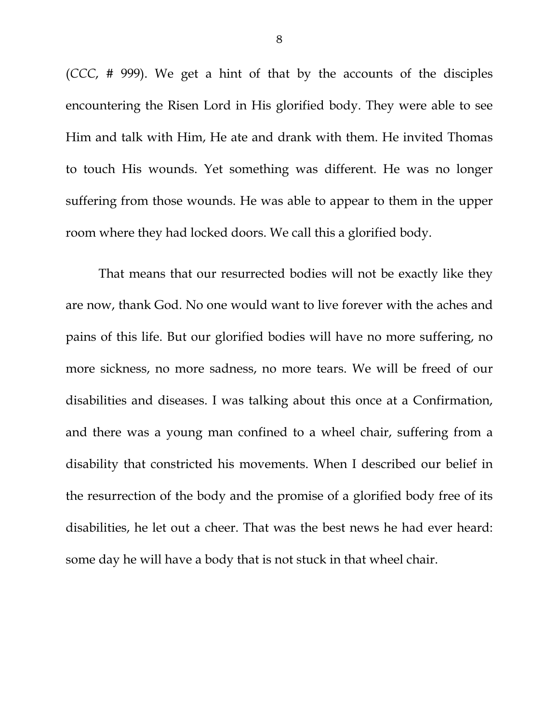(*CCC*, # 999). We get a hint of that by the accounts of the disciples encountering the Risen Lord in His glorified body. They were able to see Him and talk with Him, He ate and drank with them. He invited Thomas to touch His wounds. Yet something was different. He was no longer suffering from those wounds. He was able to appear to them in the upper room where they had locked doors. We call this a glorified body.

That means that our resurrected bodies will not be exactly like they are now, thank God. No one would want to live forever with the aches and pains of this life. But our glorified bodies will have no more suffering, no more sickness, no more sadness, no more tears. We will be freed of our disabilities and diseases. I was talking about this once at a Confirmation, and there was a young man confined to a wheel chair, suffering from a disability that constricted his movements. When I described our belief in the resurrection of the body and the promise of a glorified body free of its disabilities, he let out a cheer. That was the best news he had ever heard: some day he will have a body that is not stuck in that wheel chair.